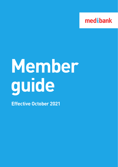

# **Member guide**

**Effective October 2021**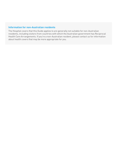#### **Information for non-Australian residents**

The Hospital covers that this Guide applies to are generally not suitable for non-Australian residents, including visitors from countries with which the Australian government has Reciprocal Health Care Arrangements. If you're a non-Australian resident, please contact us for information about health covers that may be more appropriate for you.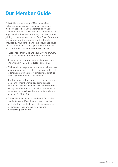### **Our Member Guide**

This Guide is a summary of Medibank's Fund Rules and policies as at the date of this Guide. It's designed to help you understand how your Medibank membership works, and should be read together with the Cover Summary you receive when joining or changing your cover. Your Cover Summary is a summary of the services and treatments provided by your particular health insurance cover. You can download a copy of your Cover Summary and our Fund Rules from **medibank.com.au**

- Please read this Guide and your Cover Summary carefully and keep them for your reference.
- If you need further information about your cover or anything in this Guide, please contact us.
- We'll send correspondence to your email address, or your postal address where you have opted out of email communication. It's important to let us know if your contact details change.
- It's also important to contact us if you, or anyone else on the membership, are going to need treatment, to check what services and treatments we pay benefits towards and what out-of-pocket expenses you may have. Our contact details are on page 37 of this Guide.
- This Guide only applies to Medibank Australian resident covers. If you hold a cover other than an Australian resident cover, please contact us for details of the services included and membership conditions.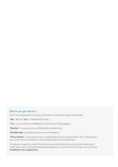#### **Before you get started…**

Here is an explanation of some of the terms commonly used in this Guide:

**'We'**, **'us'** and **'our'** is Medibank Private.

**'You'** is any member of Medibank to whom this Guide applies.

**'Member'** is any person on a Medibank membership.

**'Membership'** is made up of one or more members.

**'Policy holder'** is the person who is responsible for the membership. This is the person we contact when we need to communicate about the membership.

To help you make the most of this Guide and understand the services and treatments under your cover, we've also prepared a glossary of useful terms that you can access at **medibank.com.au/glossary**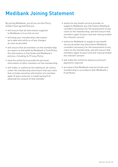### **Medibank Joining Statement**

By joining Medibank, you (if you are the Policy holder) have agreed that you:

- will ensure that all information supplied to Medibank is true and correct
- will keep your membership information up to date and notify us of any changes as soon as possible
- will ensure that all members on the membership are aware of and abide by Medibank's Fund Rules, the information in this Guide and Medibank's policies, including its Privacy Policy
- have the authority to provide the personal information of other members on the membership
- will make, or authorise the making of, all claims under the membership and ensure that any claim that includes sensitive information of a member aged 16 years and over is made having first obtained the consent of that member
- authorise any health service provider to supply to Medibank any information Medibank considers necessary for the assessment of any claim on the membership, and will ensure that members aged 16 years and over have provided the relevant consent
- authorise Medibank to supply to any health service provider any information Medibank considers necessary for the assessment of any claim on the membership, and will ensure that members aged 16 years and over have provided the relevant consent
- will make the minimum advance premium payments required
- are aware that Medibank may terminate your membership in accordance with Medibank's Fund Rules.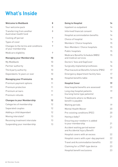### **What's Inside**

| <b>Welcome to Medibank</b>                                | 8               | <b>Going to Hospital</b>                                        | 14 |
|-----------------------------------------------------------|-----------------|-----------------------------------------------------------------|----|
| Your welcome pack                                         | 8               | Inpatient vs outpatient                                         | 14 |
| Transferring from another                                 | 8               | Informed financial consent                                      | 14 |
| Australian health fund                                    |                 | Hospital accommodation benefits                                 | 14 |
| Cooling off period                                        | 9               | Choice of hospital                                              | 14 |
| Types of cover                                            | 9               | Members' Choice hospitals                                       | 15 |
| Changes to the terms and conditions<br>of your membership | 9               | Non-Members' Choice hospitals                                   | 15 |
| Medicare eligibility                                      | 9               | Public hospitals                                                | 15 |
| <b>Managing your Membership</b>                           | 10 <sup>1</sup> | Medicare Benefits Schedule (MBS)<br>and medical services        | 15 |
| My Medibank                                               | 10 <sup>°</sup> | Doctors' fees and GapCover                                      | 16 |
| Partner authority                                         | 10 <sup>°</sup> | Surgically implanted prostheses                                 | 16 |
| Third party authority                                     | 10 <sup>1</sup> | Pharmaceutical Benefits Scheme (PBS)                            | 17 |
| Dependants 16 years or over                               | 10 <sup>1</sup> | Emergency department facility fees                              | 17 |
| <b>Managing your Premiums</b>                             | 11              | Hospital benefits table                                         | 18 |
| Premium payment options                                   | 11              | <b>Hospital Cover</b>                                           | 19 |
| Premium protection                                        | 11              | How hospital benefits are assessed                              | 19 |
| Premium arrears                                           | 11              | Long stay hospital patients                                     | 19 |
| Premium refunds                                           | 11              | (nursing home type patients)                                    |    |
| <b>Changes to your Membership</b>                         | 12              | Treatments where no Medicare<br>benefit is payable              | 19 |
| Categories of membership                                  | 12              | Waiting periods                                                 | 19 |
| Separated couples                                         | 12              | Mental Health Waiver                                            | 20 |
| Adding a child dependant                                  | 12              | Pre-existing conditions (PEC)                                   | 20 |
| Moving interstate?                                        | 13              | Having a baby?                                                  | 21 |
| Receiving treatment interstate                            | 13              | Ensuring your newborn is added                                  |    |
| Suspending your membership                                | 13              | to your membership                                              | 21 |
|                                                           |                 | Accident waiting period waiver<br>and Accidental Injury Benefit | 21 |
|                                                           |                 | Hospital covers with an excess                                  | 22 |

Hospital covers with a per-day payment 22 Travel and Accommodation benefits 22 Claiming for a CPAP-type device 23 Hospital benefit exclusions 23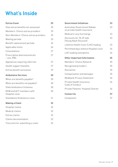### **What's Inside**

| <b>Extras Cover</b>                         | 25 |
|---------------------------------------------|----|
| How extras benefits are assessed            | 25 |
| Members' Choice extras providers            | 25 |
| Non-Members' Choice extras providers        | 25 |
| Waiting periods                             | 25 |
| Benefit replacement periods                 | 26 |
| Applicable limits                           | 26 |
| Consultations                               | 27 |
| Prescription pharmaceuticals<br>$-$ non-PBS | 27 |
| Appliances requiring referrals              | 27 |
| Health support benefits                     | 27 |
| Extras benefit exclusions                   | 29 |
| <b>Ambulance Services</b>                   | 30 |
| When are benefits payable?                  | 30 |
| When are benefits not payable?              | 30 |
| State Ambulance Schemes                     | 30 |
| NSW and ACT members with<br>Hospital cover  | 30 |
| Standalone Ambulance cover                  | 31 |
| <b>Making a Claim</b>                       | 32 |
| Hospital claims                             | 32 |
| Medical claims                              | 32 |
| Extras claims                               | 32 |
| Claims documentation                        | 32 |
| Time limit for submitting a claim           | 32 |

| <b>Government Initiatives</b>                               | 33 |
|-------------------------------------------------------------|----|
| Australian Government Rebate<br>on private health insurance | 33 |
| Medicare Levy Surcharge                                     | 33 |
| Discounts for 18-29 olds<br>(Young Adult Discount)          | 33 |
| Lifetime Health Cover (LHC) loading                         | 33 |
| Permitted days without Hospital cover                       | 34 |
| LHC loading exemptions                                      | 34 |
| <b>Other Important Information</b>                          | 35 |
| Members' Choice Network                                     | 35 |
| Recognised providers                                        | 35 |
| Disclaimer                                                  | 35 |
| Compensation and damages                                    | 35 |
| Medibank Privacy Statement                                  | 36 |
| Private Health Insurance<br>Code of Conduct                 | 36 |
| Private Patients' Hospital Charter                          | 36 |
| <b>Contact Us</b>                                           | 37 |
| Complaints                                                  | 37 |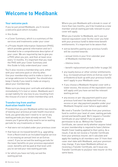### **Welcome to Medibank**

#### **Your welcome pack**

If you've just joined Medibank, you'll receive a welcome pack which includes:

- this Guide
- a Cover Summary, which is a summary of the services and treatments under your cover
- a Private Health Information Statement (PHIS), which provides general information and isn't intended to be a comprehensive description of your cover. We are required by law to give you a PHIS when you join, and then at least once every 12 months. It's important that you read the PHIS with your Cover Summary and this Guide to fully understand your cover.

You'll also receive a membership card, either with your welcome pack or shortly after. Use your membership card to make a claim or arrange admission to hospital. You should also keep it handy if you need to make an enquiry about your membership.

Make sure you keep your card safe and advise us immediately if it's lost or stolen. Medibank won't accept liability for any loss to you resulting from the misuse of a lost or stolen membership card.

#### **Transferring from another Australian health fund**

Provided that you join Medibank within two months of leaving your previous private health insurance fund, you generally won't need to re-serve any waiting periods you have already served. This means you'll generally only need to serve waiting periods for any treatments or items:

- that were not included under your previous cover
- that have an increased benefit (e.g. upgrading from a Restricted to an Included hospital service or increasing an annual limit on an Extras cover). If you've served the waiting periods for the lower benefits on your previous equivalent cover, benefits will be paid at that level until you've served your new waiting periods
- for which you have not fully served the waiting period.

Where you join Medibank with a break in cover of more than two months, you'll be treated as a new member and all waiting periods relevant to your cover will apply.

When you transfer to Medibank, we'll use our nearest equivalent cover (to the cover you held with your previous fund) to determine benefit entitlements. It's important to be aware that:

- extras benefits paid by your previous fund/s will be counted towards:
	- annual limits in your first calendar year of Medibank membership
	- lifetime limits
	- benefit replacement periods (refer to page 26).
- any loyalty bonus or other similar entitlements (e.g. increased annual limits on Extras cover for orthodontics) built up with your previous fund/s won't apply to your Medibank cover.
- if you choose a Medibank Hospital cover with a lower excess, the excess of the equivalent cover will apply until you have served the relevant waiting period.
- any excess or per-day payment paid to your previous fund won't be deducted from any excess or per-day payment payable under your Medibank Hospital cover (where applicable).

We need a Transfer Certificate from your previous fund to confirm your level of cover, waiting periods served and benefits paid. We'll request a Transfer Certificate on your behalf if you've given us permission to do so. Without the Transfer Certificate, we cannot verify whether anyone listed on your membership is required to have Lifetime Health Cover loading applied to their policy. As a result, if we do not receive a Transfer Certificate from your previous insurer, we'll calculate and apply the loading to all members over 31 from their cover start date with Medibank, and your premium may change. If you leave Medibank without us receiving a Transfer Certificate, we'll issue any Transfer Certificate to you/your new insurer on this same basis.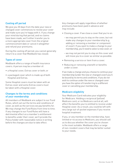#### **Cooling off period**

We give you 30 days from the date your new or changed cover commences to review your cover and make sure you're happy with it. If you change your mind during that period, and no claims have been made, we'll either transfer you to a more appropriate cover from the original commencement date or cancel it altogether and refund your premiums.

During the cooling off period, you cannot generally return to a cover that Medibank has closed.

#### **Types of cover**

Medibank offers a range of health insurance covers. A person may be a member of:

- a Hospital cover, Extras cover or both; or
- a packaged cover which is made up of both Hospital and Extras.

Some Hospital covers must be taken with an Extras cover and some Extras covers must be taken with a Hospital cover.

#### **Changes to the terms and conditions of your membership**

All members of Medibank are subject to our Fund Rules, which set out the terms and conditions of cover, as well as the services we pay benefits for. We may change the Fund Rules from time to time. If any changes to our Fund Rules will have a detrimental effect on a member's entitlement to benefits under their cover, we'll provide the Policy holder with reasonable notice in writing before the changes are due to take effect.

Any changes will apply regardless of whether premiums have been paid in advance and may include:

- Closing a cover. If we close a cover that you're on:
	- we may permit you to stay on the cover, but not make any changes to your membership (e.g. adding or removing a member or component of cover). If you want to make a change to your membership, you'll need to select a new cover; or
	- we may not permit you to stay on this cover and will move you to a cover as similar as possible.
- Removing a service or item from a cover.
- Reducing or removing a benefit or benefits under a cover.

If we make a change and you choose to continue your membership (under the new or changed cover) you'll be bound by its terms and conditions. If you do not wish to continue under the new or changed cover you have the option of transferring to a different cover or cancelling your membership.

#### **Medicare eligibility**

Your Medicare Card indicates your eligibility for Medicare. Holding a reciprocal (yellow) Medicare card, or no Medicare card at all, will affect the benefits you're entitled to receive under Hospital cover. As a result, you could be left with very large out-of-pocket expenses if you receive hospital treatment.

If you, or any member on the membership, have limited or no access to Medicare, you should call us to discuss whether the cover you've chosen is the most suitable. Medibank offers a range of non-resident covers that may be better suited to your needs.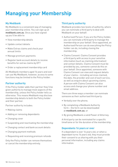### **Managing your Membership**

#### **My Medibank**

My Medibank is a convenient way of managing your membership online. You can sign up at **medibank.com.au**. Once you have signed up you'll be able to:

- View membership details
- Update contact details
- Make Extras claims and check your annual limits
- Manage premium payments
- Register bank account details to receive benefits for extras claims by EFT
- Order a replacement membership card

All Medibank members aged 16 years and over can use My Medibank; however, access to some functions may be limited to the Policy holder.

#### **Partner authority**

If the Policy holder adds their partner they'll be given authority to manage most aspects of the membership, unless the Policy holder tells us otherwise. This means Medibank may disclose membership details to both the Policy holder and their partner.

Partner authority includes:

- Making claims
- Adding or removing dependants
- Changing cover
- Suspending and reactivating the membership
- Changing contact and bank account details
- Changing payment methods
- Requesting and receiving premium refunds

Only the Policy holder can remove themselves or cancel the membership entirely.

### **Third party authority**

Medibank provides two levels of authority, where you can nominate a third party to deal with Medibank on your behalf:

- Authorised Person: If you are the Policy holder, you can nominate a third party to manage the membership on your behalf. Once appointed, an Authorised Person can do everything the Policy holder can do, including closing the membership.
- Claims Consent: Claims Consent provides a third party with access to your sensitive information (such as claiming information) and contact details. Claims Consent must be provided by you, someone cannot do this on your behalf. Once appointed, someone with Claims Consent can view and request details of your claims – including services claimed, the date, the provider and cost of each service, as well as enquire about upcoming claims. A person with Claims Consent can also access and change your phone number and email address.

There are three ways a member can nominate someone as their authorised third party:

- Verbally over the phone;
- By completing a Medibank Authority form – the form can be downloaded at **medibank.com.au**; or
- By giving Medibank a valid Power of Attorney.

A third party can be nominated for a specific timeframe or for the duration of the membership.

#### **Dependants 16 years or over**

If a dependant is over 16 years old, or when a dependant turns 16 years old, they must provide their consent to us sharing with you their personal information, including any claims information.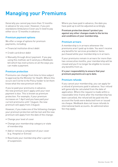### **Managing your Premiums**

Generally you cannot pay more than 12 months in advance for any cover. However, if you join standalone Ambulance Cover you'll need to pay either six or 12 months in advance.

#### **Premium payment options**

We offer a range of options for premium payments, including:

- Financial institution direct debit
- Credit card direct debit
- Manually through direct payment. If you pay using this method, we'll send you a Medibank bill which has instructions on all the ways you can make a payment.

#### **Premium protection**

Premiums can change from time to time subject to approval by the Minister for Health. Where this occurs we'll write to the Policy holder to let them know what the new premium will be.

If you've paid your premiums in advance, the new premium won't apply until your next payment is due. This is known as premium protection. For example, if your premium increases on 1 April and you have paid your current premiums until 1 August, the new premium will apply from 2 August.

However, if you make one of the following changes your premium protection will be lost and the new premium will apply from the date of the change:

- Change your level of cover
- Change your membership category or state of membership
- Add or remove a component of your cover (e.g. Hospital or Extras)
- Reactivate your membership after a period of suspension.

Where you have paid in advance, the date you have paid up to will be adjusted accordingly.

**Premium protection doesn't protect you against any other changes made to the terms and conditions of your membership.**

#### **Premium arrears**

A membership is in arrears whenever the premiums aren't paid up to date. You won't receive any benefits for services provided or items purchased while your membership is in arrears.

If your premiums remain in arrears for more than two consecutive months, your membership will be closed and you'll no longer be eligible to receive any benefits from us.

**It's your responsibility to ensure that your premium payments are up to date.** 

#### **Premium refunds**

If you cancel your membership, you can apply for a refund of premiums paid in advance. Your refund will generally be calculated from the date of application. Where the request is made within a reasonable time-frame after the membership has been cancelled, the refund will be paid into the account the funds were deducted from or issued via cheque. Medibank does not issue refunds to international bank accounts. An administration fee may apply.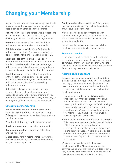### **Changing your Membership**

As your circumstances change you may need to add or remove members on your cover. The following people can be on a Medibank membership:

**Policy holder** – this is the person who is responsible for the membership. Unless approved by us, the Policy holder must be 16 years of age or older.

**Partner** – a person who lives with the Policy holder in a marital or de facto relationship.

**Child dependant** – a child of the Policy holder or their partner who isn't married or living in a de facto relationship and is under the age of 21.

**Student dependant** – a child of the Policy holder or their partner who isn't married or living in a de facto relationship, has reached the age of 21 but is under 25 and is undertaking full-time education at an approved educational institution.

**Adult dependant** – a child of the Policy holder or their Partner who isn't married or living in a de facto relationship, has reached the age of 21 but is under 25 and isn't undertaking full-time education.

If the status of anyone on the membership changes, for example, a student dependant ceases to be a student or defers their study, you must notify us immediately as it may mean they're no longer eligible to remain on the membership.

#### **Categories of membership**

Adding or removing a member may mean the category of your membership needs to change. This type of change can also affect the premiums you'll need to pay.

We offer the following membership categories:

**Single membership** – covers the Policy holder.

**Couple membership** – covers the Policy holder and their partner.

**Single parent family membership** – covers the Policy holder and any of their child dependants and/or student dependants.

**Family membership** – covers the Policy holder, their partner and any of their child dependants and/or student dependants.

We also provide an option for families with adult dependants, where, for an additional cost, some covers can be extended to also include an adult dependant/s.

Not all membership categories are available for all covers. Contact us to find out more.

#### **Separated couples**

If you have a couple or family membership and you and your partner separate, your partner must be removed from your policy and they'll need to take out a separate policy to comply with our Fund Rules, and to prevent privacy breaches.

#### **Adding a child dependant**

To cover your child dependant from their date of birth or inclusion in your family unit (e.g. through marriage, adoption or fostering) you'll need to have commenced your Medibank membership no later than that date and add them within the timeframes below.

- For a single membership **two months**. This change must be backdated to the child's date of birth/inclusion in the family unit and means you'll need to change to a family or single parent family cover and pay higher premiums from this date. Where a child is added outside two months, they'll have to serve all waiting periods applicable to the cover.
- For a couple or family membership **12 months**. This change can be backdated to the child's date of birth/inclusion in the family unit, or commence from the date of application or any future date you choose. Where a child is added outside 12 months, their cover will commence from the date of application or any future date you choose.

Where a child is added within the above timeframes and the Medibank membership commenced no later than the child's date of birth they'll only have to serve the waiting periods that haven't been served by the Policy holder.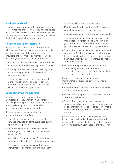#### **Moving interstate?**

Premiums and some benefits vary from state to state. When moving interstate, you need to advise us of your new address within two months so we can adjust your premiums and ensure you receive the benefits applicable to your state.

#### **Receiving treatment interstate**

If you receive treatment interstate, Medibank will pay benefits in accordance with our provider agreements in that state (our agreement providers are referred to as Members' Choice providers, see pages 15 and 25 for more details).

Where you receive treatment by a Non-Members' Choice provider, benefits are payable as follows:

- For hospital treatment, benefits are payable at the level applicable to the state in which treatment is provided.
- For extras treatment, benefits are payable at the level of benefits applicable to your state of membership, regardless of the state in which the service was provided.

#### **Suspending your membership**

Members can apply to suspend their membership if they are travelling overseas, receiving some types of Centrelink assistance, are experiencing temporary financial hardship or have been imprisoned.

If you're considering suspending your membership you should note:

- Benefits are not payable for treatment received, services provided or items purchased during a period of suspension.
- You may be subject to the Medicare Levy Surcharge for the period you're suspended (refer page 33).
- Any period of suspension won't count towards waiting periods or benefit replacement periods.
- Any period of suspension can affect your entitlement to an increase in annual benefit

limits for extras items and services.

- Members with both Hospital and Extras cover cannot suspend one without the other.
- Standalone Ambulance cover cannot be suspended.
- The maximum suspension periods are three months for temporary financial hardship, two years for eligible Centrelink benefits and four years for overseas travel and imprisonment.
- The minimum period between reactivation and suspension for the same reason is six months for overseas travel and 12 months for temporary financial hardship, eligible Centrelink benefits and imprisonment.
- The minimum period between reactivation from an eligible Centrelink benefits suspension and a temporary financial hardship suspension is three months.

If you're considering suspending your membership for overseas travel, you should also note:

- Premiums must be paid two weeks in advance of your suspension date.
- The suspension application must be made prior to your departure date.
- The minimum period for overseas travel suspension is two months. This means you must be absent from Australia for at least two months to be eligible to suspend your membership on this basis.

From time to time, Medibank may close covers. If your cover is closed while your membership is suspended, you may be transferred to a similar cover. The premium applicable to the new cover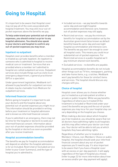### **Going to Hospital**

It's important to be aware that Hospital cover may not pay all of the costs associated with hospital treatment. You may still incur out-ofpocket expenses above the benefits we pay.

**To help understand your potential out-of-pocket expenses, you should contact us prior to any hospital admission. You should also speak to your doctors and hospital to confirm any out-of-pocket expenses you may incur.**

#### **Inpatient vs outpatient**

Hospital cover provides benefits when a member is treated as a private inpatient. An inpatient is someone who is admitted to hospital to receive medical care or treatment. Services that are provided where a member isn't admitted to hospital are called outpatient services. Outpatient services also include things such as visits to an emergency department, a general practitioner (GP) or a specialist.

Under government legislation, Medibank isn't allowed to pay benefits for outpatient services. A rebate may be claimable from Medicare for outpatient services.

#### **Informed financial consent**

Before going to hospital it's important to ask your doctor/s and the hospital about any potential out-of-pocket expenses you might incur. This information should be provided in writing before your treatment or hospital admission and is known as informed financial consent.

If you're admitted in an emergency, there may not be time for the hospital or doctor/s to seek your informed financial consent. Information about your out-of-pocket expenses should be provided by the hospital or doctor/s as soon as possible after you receive treatment.

#### **Hospital accommodation benefits**

The benefits we pay for hospital accommodation will depend on whether the hospital admission is for an Included, Restricted or Excluded service (refer to your Cover Summary), and the type of hospital you're admitted to.

- Included services we pay benefits towards same-day and overnight hospital accommodation and intensive care; however, out-of-pocket expenses may still apply.
- Restricted services we pay the minimum benefits for hospital accommodation set by the Australian government (also known as default benefits) towards same-day and overnight hospital accommodation and intensive care. The benefits we pay won't be enough to cover all hospital costs. This means you could incur substantial out-of-pocket expenses. For Restricted services in a public hospital we'll pay minimum shared room benefits.
- Excluded services no benefits are payable.

Hospital accommodation benefits do not include other things such as TV hire, newspapers, parking and take-home items, e.g. crutches. Medibank won't pay benefits for these (or similar) items and services. The hospital should discuss any charges with you.

#### **Choice of hospital**

Hospital cover allows you to choose whether you're treated as a private patient at either a private or public hospital. While we pay benefits regardless of where you're treated (if the treatment is Included or Restricted under your cover) the benefits we pay and the out-of-pocket expenses you may incur for your hospital stay can vary depending on the hospital you choose.

When making a decision about which hospital you'll be treated at, you should be aware that not all doctors have admitting rights to all hospitals and this may affect where your doctor can treat you. Your doctor will be able to tell you at which hospitals they have admitting rights.

Regardless of whether you're treated at a Members' Choice, non-Members' Choice or public hospital, the hospital should seek your informed financial consent about any out-of-pocket expenses you'll need to pay. It's also important to be aware that if you have a Hospital cover with an excess or per-day payment, it will apply regardless of the type of hospital you choose (refer to page 22 for more information about how an excess and/or per-day payment will apply).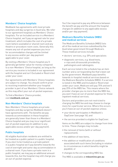#### **Members' Choice hospitals**

Medibank has agreements with most private hospitals and day surgeries in Australia. We refer to our agreement hospitals as Members' Choice hospitals. For an Included service in a Members' Choice hospital, we'll pay an agreed rate for your treatment, which includes the cost of a private room (where available) or shared room and any theatre or procedure room costs. Generally this means any out-of-pocket expenses you incur for accommodation charges will be limited to any excess and/or per-day payment applicable to your cover.

By visiting a Members' Choice hospital you'll generally get better value for money compared to a non-Members' Choice hospital, as long as the service you receive is included in our agreement with the hospital and isn't Excluded or Restricted under your cover.

Our agreements with Members' Choice hospitals are subject to change. You should confirm prior to receiving treatment whether your hospital provider is part of our Members' Choice network as this may affect your out-of-pocket expenses.

To find a Members' Choice provider, visit **medibank.com.au**

#### **Non-Members' Choice hospitals**

Non-Members' Choice hospitals are private hospitals and day surgeries Medibank doesn't have agreements with. The benefits we pay towards accommodation in these hospitals are generally lower than those in a Members' Choice hospital and you may incur significant out-of-pocket expenses (in addition to any applicable excess and/or per-day payment).

#### **Public hospitals**

All eligible Australian residents are entitled to be treated as a public patient in a public hospital. If you elect to be treated as a private patient in a public hospital we'll pay benefits towards the cost of overnight and same-day accommodation in a shared room. If you have a private room in a public hospital, we may pay an additional amount towards this, but the hospital may still charge you an out-of-pocket expense.

You'll be required to pay any difference between the benefit we pay and the amount the hospital charges (in addition to any applicable excess and/or per-day payment).

#### **Medicare Benefits Schedule (MBS) and medical services**

The Medicare Benefits Schedule (MBS) lists all of the medical services subsidised by the Australian government through Medicare. These medical services include:

- doctors' services, e.g. GPs and specialists
- diagnostic services, e.g. blood tests, x-rays and ultrasounds provided by pathologists and radiologists.

Each service listed in the schedule has an item number and a corresponding fee that's been set by the government. Medibank pays benefits towards in-hospital medical services based on the Medicare Benefits Schedule (MBS). If a service is listed in the MBS and Included or Restricted under your cover, Medicare will pay 75% and we'll pay 25% of the MBS fee. This means where the provider charges you no more than the MBS fee, you won't have an out-of-pocket expense for those inpatient medical services.

Doctors and providers are not restricted to charging the MBS fee and may choose to charge more for a particular service. Where this occurs you'll have an out-of-pocket expense unless:

- your doctor participates in Medibank's GapCover (see page 16); and
- the service provided is eligible for GapCover.

Items on the MBS are subject to change from time to time. These changes may include:

- the removal of items (with or without replacement),
- the addition of new items,
- the addition or modification of conditions associated with such items (including in relation to circumstances in which benefits might be payable), or
- changes to the corresponding MBS fee.

The MBS is available at **mbsonline.gov.au**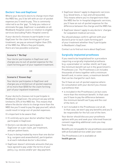#### **Doctors' fees and GapCover**

Where your doctor/s elects to charge more than the MBS fee, you'll be left with an out-of-pocket expense you'll need to pay. This is commonly referred to as the 'gap'. To help you reduce or eliminate the gap, GapCover is available on all Medibank Hospital covers in relation to eligible services (excluding Public Hospital covers).

If your doctor/s chooses to participate in our GapCover for the claim forming part of your treatment, we pay an amount higher than 25% of the MBS fee. Where they participate, there are two possible scenarios:

#### **Scenario 1 'No Gap'**

Your doctor participates in GapCover and charges you no out-of-pocket expense for the claim forming part of your inpatient treatment.

#### OR

#### **Scenario 2 'Known Gap'**

Your doctor participates in GapCover and charges you a limited out-of-pocket expense of no more than \$500 for the claim forming part of your inpatient treatment.

If your doctor/s chooses not to participate in Medibank's GapCover, the amount we pay will be limited to 25% of the MBS fee. This means that where the doctor elects to charge more than the MBS fee you'll need to pay the gap yourself, which could result in large out-of-pocket expenses.

It's important to be aware that:

- It's entirely up to your doctor whether they'll participate in GapCover.
- Doctors can decide to participate in GapCover on a per claim, per treatment, and per patient basis.
- If you're being treated by more than one doctor (e.g. surgeon and anaesthetist), participation is at each individual doctor's discretion.
- GapCover doesn't eliminate amounts that you have agreed to pay under the terms of your policy, e.g. excess and/or per-day payment.
- GapCover doesn't apply to diagnostic services (e.g. blood tests, x-rays and ultrasounds). This means where you're charged more than the MBS fee for in-hospital diagnostic services, you'll have an out-of-pocket expense for the difference between the charge and the MBS fee.
- GapCover doesn't apply to any doctors' charges for outpatient medical services.

You should always confirm upfront with your doctor/s prior to each claim forming part of your treatment whether they'll participate in Medibank's GapCover.

Contact us to find out more about GapCover.

#### **Surgically implanted prostheses**

If you need to be hospitalised for a procedure requiring a surgically implanted prosthesis (e.g. a pacemaker or cardiac stent), we'll pay the minimum benefit set out in the government's Prostheses List. The Prostheses List includes thousands of items together with a minimum benefit and, in some cases, a maximum benefit that can be charged for each item.

You'll have an out-of-pocket expense where (in consultation with your doctor) you choose a prosthesis that:

- is included in the Prostheses List but costs more than the minimum benefit. In that case you'll have to pay the difference between the minimum benefit we'll pay and the cost of the item; or
- isn't included in the Prostheses List at all. In that case, we won't pay any benefits and you'll be responsible for the full cost of the item.

Your doctor should discuss your prosthesis options with you and seek your informed financial consent regarding additional costs you may have to pay.

Benefits are not payable for any prosthesis associated with an Excluded service under your cover.

The Prostheses List is available at **health.gov.au**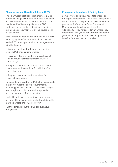#### **Pharmaceutical Benefits Scheme (PBS)**

The Pharmaceutical Benefits Scheme (PBS) is funded by the government and makes subsidised prescription medicines available to Australian residents. Residents eligible for the PBS contribute to the cost of subsidised medicines by paying a co-payment (set by the government) for each item.

Government legislation prevents health insurers from paying benefits for medications covered by the PBS unless provided under an agreement with the hospital.

This means Medibank will only pay benefits towards PBS medications where:

- you're admitted to a Members' Choice hospital for an Included service (refer to your Cover Summary)
- the pharmaceutical is directly related to the treatment of the condition for which you're admitted; and
- the pharmaceutical isn't prescribed for cosmetic purposes.

No benefits are payable for PBS pharmaceuticals that do not meet the above requirements, including pharmaceuticals provided on discharge from hospital and pharmaceuticals provided at a non-Members' Choice hospital.

Under Hospital cover, benefits are not payable for non-PBS pharmaceuticals (although benefits may be payable under Extras cover).

Further details about the PBS are available at **pbs.gov.au**

#### **Emergency department facility fees**

Some private and public hospitals charge an Emergency Department facility fee to outpatients. Unless benefits are specifically provided under your cover (refer to your Cover Summary), Medibank won't pay towards those fees. Additionally, if you're treated in an Emergency Department and you're not admitted to hospital, you'll be an outpatient and we won't pay any benefits for treatment you receive.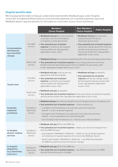#### **Hospital benefits table**

We've prepared this table to help you understand what benefits Medibank pays under Hospital covers (for Included and Restricted services) and what potential out-of-pocket expenses may arise. Medibank doesn't pay any benefits for Excluded services (refer to your Cover Summary).

|                                                                     |                                      | Members'<br><b>Choice Hospital</b>                                                                                                                                                                                                                                                                                                                                                                                                                                 | Non-Members'<br><b>Choice Hospital</b>                                                                                                                     | <b>Public Hospital</b>                                                                                              |
|---------------------------------------------------------------------|--------------------------------------|--------------------------------------------------------------------------------------------------------------------------------------------------------------------------------------------------------------------------------------------------------------------------------------------------------------------------------------------------------------------------------------------------------------------------------------------------------------------|------------------------------------------------------------------------------------------------------------------------------------------------------------|---------------------------------------------------------------------------------------------------------------------|
| Accommodation<br>and Intensive<br><b>Care Unit (ICU)</b><br>charges | Included<br>service                  | . Medibank will pay the cost of shared<br>or private room accommodation<br>in hospital or same day facility.<br>• Your potential out-of-pocket<br>expense is limited to any hospital<br>excess and/or per-day payment<br>applicable to your cover.                                                                                                                                                                                                                 | . Medibank will pay the minimum<br>hospital benefit set by the<br>Australian government.<br>benefit set by the government and<br>applicable to your cover. | • Your potential out-of-pocket expense<br>will be any charge above the minimum<br>any excess and/or per-day payment |
|                                                                     | Restricted<br>service                | . Medibank will pay the minimum hospital benefit set by the Australian government.<br>. Your potential out-of-pocket expense is any charge above the minimum<br>benefit set by the Australian government in addition to any excess and/<br>or per-day payment applicable to your cover.                                                                                                                                                                            |                                                                                                                                                            |                                                                                                                     |
| <b>Theatre fees</b>                                                 | Included<br>service                  | . Medibank will pay costs as per our<br>agreement with the hospital.<br>• Your potential out-of-pocket<br>expense is limited to any hospital<br>excess and/or per-day payment<br>applicable to your cover.                                                                                                                                                                                                                                                         | . Medibank will pay no benefits.<br>• Your potential out-of-pocket<br>expense will be any charge raised<br>or per-day payment applicable<br>to your cover. | by the hospital and any excess and/                                                                                 |
|                                                                     | Restricted<br>service                | . Medibank will pay no benefits.<br>. Your potential out-of-pocket expense will be any charge raised by the hospital<br>and any excess and/or per-day payment applicable to your cover.                                                                                                                                                                                                                                                                            |                                                                                                                                                            |                                                                                                                     |
| <b>Surgically</b><br>implanted<br>prostheses                        | Included or<br>Restricted<br>service | . Medibank will pay the minimum benefit set out in the government's Prostheses List.<br>. Your potential out-of-pocket expense - if the prosthesis is:<br>- included in the Prostheses List and costs up to the minimum<br>benefit - no out-of-pocket expense.<br>- included in the Prostheses List and costs more than the minimum<br>benefit - any charge above the minimum benefit.<br>- not included in the Prostheses List - the full cost of the prosthesis. |                                                                                                                                                            |                                                                                                                     |
| In-hospital<br>doctors' medical<br>services                         | Included or<br>Restricted<br>service | . Medibank will pay 25% of the MBS fee.<br>. Your potential out-of-pocket expense - where your doctor/s charges more<br>than the MBS fee and:<br>- participates in Medibank's GapCover - either no out-of-pocket expense<br>or limited out-of-pocket expense of no more than \$500 per doctor.<br>- doesn't participate in Medibank's GapCover - any difference between<br>the MBS fee and the amount the doctor charges.                                          |                                                                                                                                                            |                                                                                                                     |
| In-hospital<br>diagnostics<br>(e.g. blood tests,<br>scans etc.)     | Included or<br>Restricted<br>service | . Medibank will pay 25% of the MBS fee.<br>. Your potential out-of-pocket expense - any difference between the MBS<br>fee and the amount you're charged.                                                                                                                                                                                                                                                                                                           |                                                                                                                                                            |                                                                                                                     |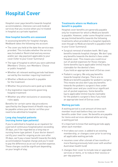### **Hospital Cover**

Hospital cover pays benefits towards hospital accommodation, intensive care and medical services that you receive when you're treated in hospital as a private inpatient.

#### **How hospital benefits are assessed**

In assessing benefits for hospital charges, Medibank takes the following into account:

- The cover you held at the date the service was provided. This includes whether the service was Included or Restricted and any excess and/or per-day payment applicable to your cover (refer to your Cover Summary)
- The type of hospital to which you were admitted (Members' Choice, non-Members' Choice or public hospital)
- Whether all relevant waiting periods had been served by the member requiring treatment
- Whether a Medicare benefit is payable for the treatment
- Whether the premiums were paid up to date
- Any legislative requirements governing hospital treatment
- Whether any other exclusions or assessing rules apply.

Benefits for certain same-day procedures specified by the Department of Health may not be payable unless your doctor certifies your need to be admitted to hospital.

#### **Long stay hospital patients (nursing home type patients)**

If you're admitted to hospital as an inpatient for a period of continuous hospitalisation exceeding 35 days, you'll be regarded as a long stay or nursing home type patient. If your doctor doesn't certify your need for ongoing acute care after 35 days, we'll pay a lower benefit towards the daily accommodation hospital charge and you'll need to pay the difference as an out-of-pocket expense. These charges could be significant depending on your length of stay.

#### **Treatments where no Medicare benefit is payable**

Hospital cover benefits are generally payable only for treatment for which a Medicare benefit is payable. However, under some Hospital covers we pay limited benefits towards the following treatments when provided to a hospital inpatient, even though no Medicare benefit is payable (refer to your Cover Summary):

- Surgical removal of wisdom teeth. We'll pay benefits towards hospital charges. We don't pay any benefits towards the dentist's fees under Hospital cover. This means you could incur out-of-pocket expenses for those charges. Some benefits (up to applicable limits) may be claimable for the dentist's fees if you hold an appropriate level of Extras cover.
- Podiatric surgery. We only pay benefits towards hospital charges. There are no Medicare benefits payable for podiatric surgery. This means we also don't pay any benefits towards the podiatric surgeon's fees under Hospital cover and you could incur significant out-of-pocket expenses. Some benefits (up to applicable limits) may be claimable for the podiatric surgeon's fees if you hold an appropriate level of Extras cover.

#### **Waiting periods**

A waiting period is a set amount of time each member must wait before they can receive benefits under their cover. No benefits are payable for items and services obtained while serving a waiting period.

It's important to know that waiting periods apply when each member:

- first takes out cover, is added to an existing membership, or changes cover prior to serving all applicable waiting periods
- resumes cover after a break of two months or more (having previously held cover with another Australian health fund)
- changes their cover to include new or upgraded services or items, or to reduce their excess or per-day payment.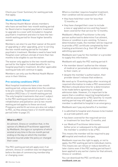Check your Cover Summary for waiting periods that apply.

#### **Mental Health Waiver**

The Mental Health Waiver allows members who have served their two-month waiting period for Restricted in-hospital psychiatric treatment to upgrade to a cover with Included in-hospital psychiatric treatment and elect to have the twomonth waiting period for those higher benefits waived.

Members can elect to use their waiver at the point of upgrading or after upgrading, prior to serving the two-month waiting period for Included psychiatric treatment. Members need to have held Hospital cover without a break of more than two months to be eligible to use the waiver.

The waiver only applies to the two-month waiting period for the higher Included benefits for inhospital psychiatric treatment. All other applicable waiting periods will continue to apply.

Members can only use the Mental Health Waiver once in their lifetime.

#### **Pre-existing conditions (PEC)**

Most hospital treatments have a two-month waiting period, unless we determine the condition to be pre-existing. Treatment of a pre-existing condition (PEC) has a 12-month waiting period. The only hospital treatments that aren't subject to the PEC waiting period are psychiatric care, rehabilitation and palliative care (a two-month waiting period applies to these services). Pregnancy and birth services are also not subject to PEC, as they always have a 12-month waiting period (refer to page 21).

#### **What is a PEC?**

An ailment, illness or condition that, in the opinion of a Medical Practitioner appointed by Medibank, the signs or symptoms of which existed at any time in the six-month period ending on the day on which the member became insured under the policy or changed their cover.

The PEC waiting period will apply even if an ailment, illness or condition was not diagnosed before the date of commencing membership or changing cover.

Where a member requires hospital treatment, their condition will be assessed for a PEC if:

- they have held their cover for less than 12 months; or
- they have changed their cover to include a new or upgraded service and they haven't been covered for that service for 12 months.

Medibank's Medical Practitioner is the only person authorised to determine if an ailment, illness or condition is pre-existing. To have a determination made, the member will be required to provide a PEC certificate completed by their treating practitioners (e.g. their GP and their admitting specialist).

Medibank won't pay for the member or a provider to supply this information.

Medibank will apply the PEC waiting period if:

- the member doesn't authorise the release of medical or paramedical evidence relating to their claim; or
- despite the member's authorisation, their provider doesn't release that evidence.

We need up to 10 working days after receiving all required information to make a PEC assessment. Members should allow time for a determination to be made before agreeing to a hospital admission date. However, it's important to be aware that a condition requiring hospitalisation will still be assessed for a PEC (and the 12-month waiting period may still apply), even where a member is admitted to hospital in an emergency.

Medibank won't pay any benefits if a member:

- is admitted to hospital and chooses to be treated as a private patient; and
- has been covered for the required service or treatment for less than 12 months; and
- our Medical Practitioner determines (either prior or subsequent to the admission) the member's condition to be a PEC.

This means the member will be required to pay **all** hospital and medical charges.

Medibank reserves the right to apply, or not to apply, the PEC waiting period to individual claims. This means we can refuse or reduce benefits on later claims even if the PEC waiting period hasn't been applied to any earlier claims for that ailment, illness or condition.

You can download the PEC certificate at **medibank.com.au**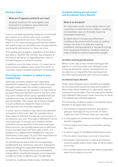#### **Having a baby?**

#### **What are Pregnancy and birth services?**

Hospital treatment for investigation and treatment of conditions associated with pregnancy and child birth.

If you're considering having a baby we recommend you contact us to ensure your cover includes Pregnancy and birth services. This is because there is a 12-month waiting period that the mother will need to have served before we can pay towards any hospital admissions for these services.

This waiting period applies regardless of the baby's due date or whether the member was pregnant at the time of taking out or upgrading their cover to include Pregnancy and birth services.

In addition, once the baby is born, it's important to ensure they're added to your cover from birth, in case they require hospital treatment immediately.

#### **Ensuring your newborn is added to your membership**

Generally, a healthy newborn isn't separately admitted to hospital as an inpatient (this is because the baby comes under the mother's admission). Because the baby isn't an inpatient, it's important to be aware that any treatment, tests or doctor's visits (e.g. a pre-release check-up by a paediatrician) are outpatient services, for which Medibank doesn't pay any benefits. This means you'll only be eligible to claim a Medicare rebate for those services and may have out-of-pocket expenses.

In some cases a newborn may need to be admitted to hospital in their own right, for example where they require treatment in a special care nursery or an intensive care unit. This type of admission can be very expensive. To ensure your newborn will be entitled to receive benefits in the event they need these services, we strongly advise you to add them to your membership from their date of birth. If a newborn isn't added within Medibank's required timeframes (refer page 12), you'll be responsible for any costs associated with their admission.

You should also be aware that if you're expecting a multiple birth (e.g. twins) your second or subsequent babies will always be separately admitted to hospital as inpatients. This means that an accommodation charge will be raised by the hospital, so it's important to make sure they're added to your membership.

#### **Accident waiting period waiver and Accidental Injury Benefit**

#### **What is an Accident?**

An unforeseen event, occurring by chance and caused by an external force or object, resulting in involuntary injury to the body requiring immediate treatment.

Accident doesn't include any unforeseen conditions the onset of which is due to medical causes, nor does it include pre-existing conditions, falling pregnant or accidents arising from surgical procedures. Condition means a state of health for which treatment is sought.

#### **Accident waiting period waiver**

Where a one-day or two-month waiting period applies to a service under your Hospital cover, it may be waived for claims resulting from an Accident occurring within that waiting period. All other waiting periods will continue to apply.

#### **Accidental Injury Benefit**

Under some Hospital covers, benefits are payable for services which would normally be Excluded or Restricted, where treatment is required for injuries sustained in an Accident. This is known as Accidental Injury Benefit (refer to your Cover Summary to check if Accidental Injury Benefit applies).

The following conditions apply to Accidental Injury Benefit on all applicable covers:

- It's limited to hospital treatment and doesn't give you coverage for any services or items under any level of Extras cover you may hold
- It only applies to treatment for which a Medicare benefit is payable
- The Accident must have occurred after joining the cover
- It doesn't apply to Standalone Ambulance cover
- The Accident must have occurred in Australia
- Immediate treatment by a medical practitioner must be sought within seven days of the Accident occurring
- The membership must not have been suspended when the Accident occurred

Contact us to add your baby to your membership.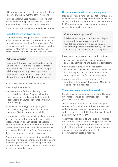• Benefits are payable only for hospital treatment received within 12 months of the Accident.

To make a claim under Accidental Injury Benefit or Accident waiting period waiver, you'll need to submit the Accident form for assessment.

The form can be downloaded at **medibank.com.au**

#### **Hospital covers with an excess**

Medibank offers a range of Hospital covers, some of which have an excess. The PHIS sent to you in your welcome pack will confirm whether you've chosen a cover with an excess and how much that excess is. Alternatively, you can contact us to check whether an excess applies to your cover.

#### **What is an excess?**

An amount that you must contribute towards your hospital treatment. It's deducted from the benefits we pay when you make a hospital claim, separate to any per-day payment applicable. Some hospitals may require you to pay this amount at the time of admission.

If your cover has an excess, it will apply:

- per hospital admission
- only where the Policy holder or partner is hospitalised – it won't apply to hospital admissions for child dependants, student dependants or adult dependants on family memberships
- regardless of the type of hospital you're admitted to (e.g. Members' Choice, non-Members' Choice or public hospital).

For most covers the excess will apply per member per calendar year. For some other covers the excess will apply to each episode of hospital treatment up to an annual maximum. For some covers, the excess does not apply for same-day admissions. Refer to your Cover Summary for details on how excess applies to your cover.

Where a member is re-admitted to hospital for the same or a related condition within seven days of discharge, the excess won't be applied to the second admission, even if the admissions stretch across two calendar years.

#### **Hospital covers with a per-day payment**

Medibank offers a range of Hospital covers, some of which have a per-day payment (also known as co-payment). You can check your Cover Summary, PHIS or contact us to check whether a per-day payment applies to your cover.

#### **What is a per-day payment?**

A daily amount that you contribute towards your accommodation costs when admitted to hospital, separate to any excess applicable. The amount payable is determined by the cover held and is payable directly to the hospital.

If your cover has a per-day payment, it will apply:

- per day per hospital admission, including same-day admissions and overnight admissions
- only where the Policy holder or partner is hospitalised – it won't apply to hospital admissions for child dependants, student dependants or adult dependants on family memberships
- regardless of the type of hospital you're admitted to (Members' Choice, non-Members' Choice or public hospital).

#### **Travel and accommodation benefits**

Benefits are payable under some of our Hospital covers for travel and accommodation (refer to your Cover Summary).

Travel benefits are only payable for a hospital admission for an Included or Restricted service and when travel between the patient's home address and the hospital (calculated in a straight line) is over 200km return.

Accommodation benefits are payable for either the patient or their accompanying person and are limited to the night before the admission, or the night of the admission for same-day admissions. An invoice confirming the dates for the accommodation costs is required.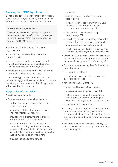#### **Claiming for a CPAP-type device**

Benefits are payable under some of our Hospital covers for CPAP-type devices (refer to your Cover Summary to see if you're entitled to benefits).

#### **What is a CPAP-type device?**

These devices include Continuous Positive Airway Pressure (CPAP) and Bi-level Positive Airway Pressure (BiPAP) or similar devices, as approved by Medibank.

Benefits for a CPAP-type device are only payable when:

- the member has served the 12-month waiting period
- the member has undergone an overnight investigation for sleep apnoea (sleep study) for which a Medicare benefit is payable
- the device is purchased or hired within the 12 months following the sleep study.

If the CPAP-type device costs more than the benefit we pay, you'll be responsible for paying the remaining amount. A benefit of \$500 is payable within a rolling 5-year period.

#### **Hospital benefit exclusions**

#### **Benefits are not payable:**

- for any treatments or services that are:
	- Excluded under your cover (refer to your Cover Summary)
	- subject to a PEC or other waiting period or benefit replacement period
	- provided while premiums are in arrears or the membership is suspended
	- provided, or items purchased, outside Australia (including medical appliances, pharmaceuticals and other items purchased by mail order or online direct from a supplier outside Australia) or prior to joining
	- provided in an aged care service
- for any claims:
	- submitted more than two years after the date of service
	- for services in respect of which you have received, or are entitled to receive, compensation (refer to page 35)
	- that are fully covered by a third party (refer to page 35)
	- containing false or misleading information or where the service or treatment has been incompletely or incorrectly itemised
	- for charges by your doctor in excess of the Medibank benefit payable under your cover
- where the treatment is rendered by providers who are not recognised by Medibank for the purpose of paying benefits (refer to page 35)
- for procedures not recognised for Medicare benefit purposes
- for cosmetic treatment
- for podiatric surgery performed by a nonaccredited podiatrist
- for pharmaceuticals that are:
	- prescribed for cosmetic purposes
	- provided on discharge from hospital
	- not covered by Medibank's agreement (if any) with the hospital, including any PBS co-payment you may be required to pay
	- non-PBS pharmaceuticals
- for surgically implanted prostheses and other items not included on the government's Prostheses List, or for any charge that exceeds the minimum benefit set out in the Prostheses List
- for items such as newspapers, TV hire, etc. not covered by Medibank's agreement (if any) with the hospital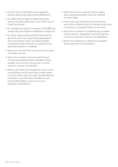- for the cost of treatment as an outpatient (unless specifically approved by Medibank)
- accident and emergency department fees, unless included under your cover (refer to your Cover Summary)
- for charges by a doctor in excess of the MBS fee, unless they participate in Medibank's GapCover
- for same-day procedures determined by the government as not requiring hospitalisation where the doctor hasn't provided suitable certification that treatment is required as an admitted inpatient in hospital
- where we consider that one service forms part of another service
- where the number of services performed or items provided exceeds a predetermined number of services or items over a certain period or course of treatment
- where a provider has charged for two or more consultations on the same day, except where it can be shown that two separate attendances took place, and that these attendances are clearly identifiable on your account as separate consultations
- where the service is performed in stages and a separate benefit cannot be claimed for each stage
- where you have reached your annual limit, sub-limit or lifetime limit for the particular item or service, or a group of items or services
- where the treatment is rendered by a provider to their partner, dependant, business partner or business partner's partner or dependant
- where the treatment is otherwise excluded by the operation of a Fund Rule.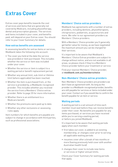### **Extras Cover**

Extras cover pays benefits towards the cost of services and items that are generally not covered by Medicare, including physiotherapy, dental and prescription glasses. The services and items included in your cover, and benefits paid, will depend on your Extras cover. You should refer to your Cover Summary for details.

#### **How extras benefits are assessed**

In assessing benefits for extras items or services, Medibank takes the following into account:

- The cover you held at the date the service was provided or item purchased. This includes whether the service or item was included under your cover.
- Whether the service or item is subject to a waiting period or benefit replacement period.
- Whether any annual limit, sub-limit or lifetime limit (where applicable) has been reached.
- Whether the item is purchased from, or the service is provided by, a Medibank-recognised provider. This includes whether you received the service from a Members' Choice extras provider. Refer to page 35 for more information.
- Whether there is an entitlement to a Medicare benefit.
- Whether the premiums were paid up to date.
- Whether any other exclusions or assessing rules apply.

Item numbers for which benefits are payable are subject to change in accordance with third parties, such as professional associations.

#### **Members' Choice extras providers**

Medibank has agreements with a number of extras providers, including dentists, physiotherapists, chiropractors, podiatrists, acupuncturists and more. We refer to our agreement providers as Members' Choice providers.

With a Members' Choice provider you'll generally get better value for money, as we have negotiated the maximum amount you can be charged for their services.

It's important to be aware that Medibank's Members' Choice Extras providers are subject to change without notice, and are not available in all areas, so please check if they're a Members' Choice provider before your treatment or service.

Find your nearest Members' Choice provider, at **medibank.com.au/memberschoice**

#### **Non-Members' Choice extras providers**

Non-Members' Choice providers are providers we don't have an agreement with. As long as the provider is a Medibank-recognised provider, benefits are still payable for services or items included under your cover. Contact us if you would like to confirm the benefit payable for an item or service.

#### **Waiting periods**

A waiting period is a set amount of time each member must wait before they can receive benefits under their cover. No benefits are payable for any items purchased, or services you have received while you're serving a waiting period, or before you joined Medibank.

It's important to be aware that waiting periods apply when each member:

- first takes out cover, is added to an existing membership, or changes cover prior to serving all applicable waiting periods
- resumes cover after a break of two months or more (having previously held cover with another Australian health fund)
- changes their cover to include new items or services or higher annual limits.

Check your Cover Summary for waiting periods that apply.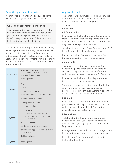#### **Benefit replacement periods**

A benefit replacement period applies to some extras items payable under Extras cover.

#### **What is a benefit replacement period?**

A set period of time you need to wait from the date of purchase for an item included under your cover before you can receive another benefit to replace the item. This is separate to the waiting period for the item.

The following benefit replacement periods apply (refer to your Cover Summary to check whether any of these items are included under your Extras cover). Benefit replacement periods can apply per member or per membership, depending on your cover. Refer to your Cover Summary for more information.

| 12 months | · external mammary prostheses<br>and repairs of external prostheses<br>and health appliances<br>· mouthquards                                                                                                                                                                                                         |
|-----------|-----------------------------------------------------------------------------------------------------------------------------------------------------------------------------------------------------------------------------------------------------------------------------------------------------------------------|
| 2 years   | • wigs<br>• hip protectors<br>· insulin delivery pens<br>• pregnancy compression garments                                                                                                                                                                                                                             |
| 3 years   | · blood glucose monitors<br>· blood pressure monitors<br>• breathing appliances<br>- nebulisers<br>- peak flow meters (per member<br>or per membership, depending<br>on your cover)<br>- spacing devices<br>· dentures, crowns and bridges<br>• other health appliances and external<br>prostheses<br>• TENS machines |
| 5 years   | • hearing aids                                                                                                                                                                                                                                                                                                        |

#### **Applicable limits**

The benefits we pay towards items and services under Extras cover will generally be subject to one or more of the following limits:

- Annual limits
- Sub-limit
- Lifetime limits.

In most cases the benefits we pay for a particular claim will be less than the applicable limits and less than your provider's charge. This means you may have out-of-pocket expenses.

You should refer to your Cover Summary and PHIS to confirm what limits apply to your cover.

Please contact us if you would like to confirm the benefit payable for an item or service.

#### **Annual limit**

An annual limit is the maximum amount of benefits we pay towards particular items or services, or a group of services and/or items within a calendar year (1 January to 31 December).

In most cases the limit will apply per member, but it can apply per membership.

Some covers have increasing annual limits that apply for particular services or groups of services. Refer to your Cover Summary to confirm if your cover has increasing annual limits.

#### **Sub-limit**

A sub-limit is the maximum amount of benefits you can receive for a particular item or service within the overall annual limit. Sub-limits generally apply per calendar year.

#### **Lifetime limit**

A lifetime limit is the maximum cumulative benefit we pay over your lifetime towards an item or service, or a group of items or services (e.g. orthodontics).

When you reach this limit, you can no longer claim that benefit again, even if you change your cover.

Refer to your Cover Summary to confirm if a lifetime limit applies.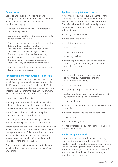#### **Consultations**

Benefits are payable towards initial and subsequent consultations for services included under your Extras cover. The following requirements apply:

- The consultation must be with a Medibankrecognised provider.
- Benefits are payable for the consultation only, unless otherwise stated.
- Benefits are not payable for video consultations (telehealth), except for the following services (where they are included under your Extras cover - refer to your Cover Summary): psychology and counselling, physiotherapy, dietetics, occupational therapy, podiatry, exercise physiology, speech therapy, and lactation consultants.
- Generally benefits are only payable once per day for the same provider.

#### **Prescription pharmaceuticals – non-PBS**

Non-PBS pharmaceuticals are drugs that aren't subsidised by the Australian government under the Pharmaceutical Benefits Scheme (PBS). If your Extras cover includes benefits for non-PBS pharmaceuticals (refer to your Cover Summary), we'll pay benefits for pharmaceuticals that:

- aren't covered by the PBS
- legally require a prescription in order to be dispensed and are supplied by a registered pharmacist, medical practitioner or dentist; and
- aren't prescribed for oral contraceptive purposes only or cosmetic purposes.

Where eligible, benefits are paid up to a fixed amount for each prescription pharmaceutical.

Before paying any benefits, we'll deduct an amount equivalent to the current non-concessional PBS co-payment amount. This means that you'll have out-of-pocket expenses for the co-payment amount plus any cost above the fixed amount we'll pay for the pharmaceutical.

Where your prescription pharmaceutical costs less than the co-payment amount, we won't pay any benefits.

#### **Appliances requiring referrals**

A referral is required to claim benefits for the following items (where included under your Extras cover – refer to your Cover Summary). The referral must be in writing and provided by a medical practitioner, unless otherwise indicated below:

- blood glucose monitors
- blood pressure monitors
- breathing appliances
	- nebulisers
	- peak flow meters
	- spacing devices
- orthotic appliances for shoes (can also be referred by podiatrists, physiotherapists and chiropractors)
- wigs
- pressure therapy garments (can also be referred by physiotherapists and occupational therapists)
- pressure stockings
- pregnancy compression garments
- custom-made footwear (can also be referred by podiatrists and physiotherapists)
- TENS machines
- modifications to footwear (can also be referred by podiatrists)
- external prostheses and health appliances
- hip protectors
- insulin delivery pens.

A letter of referral is valid for 12 months, unless otherwise indicated.

#### **Health support benefits**

In Australia, private health insurers can only pay benefits towards health support benefits that form part of a health management program. The health management program must be intended to manage a specific health condition(s) identified by a health practitioner before you start the class or program.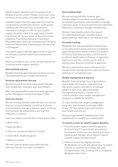Health support benefits aren't available on all Medibank extras covers. Please check your cover summary to see what's included under your cover.

A health support benefits approval form must be completed by a health practitioner, stating what condition the exercise class or program is intended to manage in order for your health support benefits claim to be approved. A health practitioner for the purposes of this form means a Medical Practitioner/General Practitioner, Physiotherapist, Dietician, Occupational Therapist, Exercise Physiologist, Psychologist, Chiropractor or Osteopath.

The health support benefit approval form lasts for two (2) years and will need to be renewed after that time.

Where included on your cover, we pay towards the following health support benefits:

#### **Quit smoking courses**

Benefits towards approved quit smoking courses recommended by your health practitioner.

#### **Nicotine replacement therapy**

Benefits towards nicotine replacement therapy such as patches, lozenges, gum and inhalers.

We'll only pay benefits towards brands approved by the Therapeutic Goods Association (TGA).

#### **Exercise classes**

We can only pay benefits towards exercise classes that are recommended by a health practitioner and intended to manage a disease, injury or illness that has been identified before you start the programs or classes.

Exercise classes must be face to face and include:

- Boot camp
- Aqua aerobics
- Exercise classes provided at the gym
- ESSA HEAL Health program
- Balance classes

We won't pay for goods associated with the exercise classes, e.g. mats or weights.

#### **Gym memberships**

We can only pay benefits towards gym memberships if it has been recommended by a health practitioner and intended to manage a disease, injury or illness that has been identified before you commence the gym membership.

We won't pay benefits where the reason for undertaking the gym membership is general fitness, wellness or recreational only.

#### **Personal training**

Medibank will only pay benefits towards face to face personal training sessions provided by approved personal trainers who are members of Fitness Australia and have a Certificate IV (or above) qualification in Fitness, or approved Exercise Scientists - contact us to confirm whether your Exercise Scientist is approved.

We won't pay benefits where the reason for the personal training session is general fitness, wellness or recreational only.

#### **Weight management programs**

Benefits towards weight loss organisations that provide information, meal planning, education, support and advice to manage weight as part of an approved weight management program. Contact us to confirm whether your weight management program is eligible for benefits.

To claim benefits for weight management programs, the member must have a BMI of over 25. This needs to be confirmed by your health practitioner.

We do not pay benefits towards food, food supplements or weight loss supplements.

#### **To submit a claim for health support benefits:**

- 1. Print the health support benefits approval form and take it to your health practitioner to complete (unless you are claiming nicotine replacement therapy, which doesn't require a health support benefits form)
- 2. Submit the form by logging into your My Medibank account and upload your receipts/ invoices or send the form along with your receipts/invoice into us along with a completed Medibank claim form.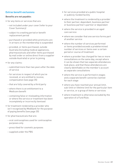#### **Extras benefit exclusions**

#### **Benefits are not payable:**

- for any items or services that are:
	- not included under your cover (refer to your Cover Summary)
	- subject to a waiting period or benefit replacement period
	- purchased or provided while premiums are in arrears or the membership is suspended
	- provided, or items purchased, outside Australia (including medical appliances, pharmaceuticals and other items purchased by mail order or online direct from a supplier outside Australia) or prior to joining
- for any claims:
	- submitted more than two years after the date of service
	- for services in respect of which you've received, or are entitled to receive, compensation (see page 35)
	- that are fully covered by a third party
	- where there is an entitlement to a Medicare benefit
	- containing false or misleading information or where the service or treatment has been incompletely or incorrectly itemised
- for treatment rendered by a provider who isn't recognised by Medibank for the purpose of paying benefits (see page 35)
- for pharmaceuticals that are:
	- oral contraceptives used for contraceptive purposes only
	- prescribed for cosmetic purposes
	- supplied under the PBS
- for services provided at a public hospital or publicly-funded facility
- where the treatment is rendered by a provider to their partner, dependant, business partner or business partner's partner or dependant
- where the service is provided in an aged care service
- where we consider that one service forms part of another service
- where the number of services performed or items provided exceeds a predetermined number of services or items over a certain period or course of treatment
- where a provider has charged for two or more consultations on the same day, except where it can be shown that two separate attendances took place, and that these attendances are clearly identifiable on the member's account as separate consultations
- where the service is performed in stages and a separate benefit cannot be claimed for each stage
- where you have reached your annual limit, sub-limit or lifetime limit for the particular item or service, or a group of items or services
- where treatment is otherwise excluded by the operation of a Fund Rule.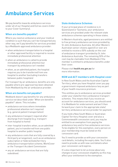### **Ambulance Services**

We pay benefits towards ambulance services under all of our Hospital and Extras covers (refer to your Cover Summary).

#### **When are benefits payable?**

Where you need an ambulance and your medical condition is such that you can't be transported any other way, we'll pay benefits for services provided by a Medibank-approved ambulance provider:

- when ambulance transportation to a hospital or other approved facility is required to receive immediate professional attention
- when an ambulance is called to provide immediate professional attention but transport by ambulance isn't needed
- when, as an admitted patient, the hospital requires you to be transferred from one hospital to another (excluding transfers between public hospitals)

For transport by air ambulance, benefits are only payable where pre-approval has been obtained from Medibank by the air ambulance provider.

#### **When are benefits not payable?**

Medibank doesn't pay benefits for any ambulance service not described under 'When are benefits payable?' above. This includes:

- ambulance services where immediate professional attention isn't required (e.g. general patient transportation)
- any ambulance transport required after discharge from hospital (e.g. transport from hospital to home)
- inter-hospital transfers when, as an admitted patient, you're transferred from one public hospital to another public hospital
- any ambulance costs that are fully covered by a third party arrangement, such as an ambulance subscription or federal/state/territory ambulance transportation scheme, WorkCover or the Transport Accident Commission
- any air ambulance services that are fully subsidised.

#### **State Ambulance Schemes**

If your principal place of residence is in Queensland or Tasmania, your ambulance services are provided under the relevant state ambulance schemes operating in those states.

In Western Australia, aged pensioners are entitled to free primary ambulance services provided by St John Ambulance Australia. All other Western Australian senior citizens aged 65 or over are entitled to receive a 50% subsidy on the cost of ambulance transport provided by St John Ambulance Australia. The remaining 50% of the cost may be claimable from Medibank if the member is entitled to ambulance benefits under their cover.

Please visit **health.wa.gov.au** for more information.

#### **NSW and ACT members with Hospital cover**

In New South Wales and the Australian Capital Territory, when you have Hospital cover you pay a government-imposed ambulance levy as part of your health insurance premium.

This entitles you to ambulance services provided under your state/territory ambulance transport schemes. This means that if you receive an account for ambulance services, you should send it to Medibank for endorsement and we'll then forward your claim to the appropriate state/ territory ambulance service provider for payment.

If you hold a New South Wales or Australian Capital Territory Hospital cover and also a Commonwealth concession card, you may be entitled to an exemption from paying the ambulance levy and to free ambulance services. To be eligible for this exemption, every person on your membership must be listed on the concession card.

You'll need to provide us with your concession card details, including the expiry date. You'll also need to provide us with new card details when your concession card expires.

It's also important to let us know about any changes to your concession eligibility as this may affect your entitlement to the exemption.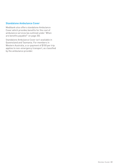#### **Standalone Ambulance Cover**

Medibank also offers standalone Ambulance Cover which provides benefits for the cost of ambulance services (as outlined under 'When are benefits payable?' on page 30).

Standalone Ambulance Cover isn't available in Queensland and Tasmania. For members in Western Australia, a co-payment of \$100 per trip applies to non-emergency transport, as classified by the ambulance provider.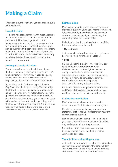### **Making a Claim**

There are a number of ways you can make a claim with Medibank.

#### **Hospital claims**

Medibank has arrangements with most hospitals for benefits to be paid direct to the hospital on your behalf. This means generally it won't be necessary for you to submit a separate claim for hospital benefits. If needed, hospital claims can be submitted via post with a completed claim form or at a Medibank store. Where claims are submitted in store, we'll assess them separately (at a later date) and pay benefits to you or the hospital, as appropriate.

#### **In-hospital medical claims**

Doctors can choose how they bill you. If your doctors choose to participate in GapCover they'll bill us directly. However, you'll need to pay any charges that are not fully covered under GapCover, which is your out-of-pocket expense.

If your doctors don't choose to participate in GapCover, they'll bill you directly. You can lodge the bill with Medicare as a paid or unpaid claim using Medicare's two-way claim form. This is the quickest and easiest way to claim from both us and Medicare. Alternatively, you can make a claim with Medicare, then with us, by providing us with the Medicare Statement of Benefit. Any difference between the doctors' fee and the benefit you receive will be your out-of-pocket expense.

#### **Extras claims**

Most extras providers offer the convenience of electronic claiming using your membership card. Where available, the claim will be processed automatically and you'll just need to pay the remaining balance to the provider.

If electronic claiming isn't available, one of the following options can be used:

**• My Medibank** 

A claim can be submitted online for most extras services using a My Medibank account.

**• Post** 

Fill in and submit a claim form – the form can be downloaded at **medibank.com.au**  Make sure to attach the original invoices or receipts. As these won't be returned, we recommend you keep a copy for your records. For certain items or services, you may be required to also provide supporting documentation along with your claim.

For extras claims, we'll pay the benefit to you, and if your claim relates to an unpaid invoice, you'll need to pay the service provider in full.

#### **Claims documentation**

Medibank retains all account and receipt documentation for the period required by law.

Benefit payments may be accompanied by a statement that contains all information relevant to each service claimed.

Medibank will, on request, provide a financial year consolidated Statement of Benefits which may assist you for taxation purposes.

For online claims, members are required to retain receipts for a specified period for verification purposes.

#### **Time limit for submitting a claim**

A claim for benefits must be submitted within two years of the date of service or the date the item was purchased. No benefits will be paid for any claims submitted outside that timeframe.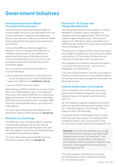### **Government Initiatives**

#### **Australian Government Rebate on private health insurance**

The Australian Government Rebate (AGR) on private health insurance can help reduce the cost of your premiums. It applies to Hospital and Extras cover but won't reduce any Lifetime Health Cover loading that may apply to your premiums (see below).

To claim the AGR you must be eligible for Medicare. The percentage of the AGR you're entitled to (also known as your AGR tier) is determined by the age of the oldest person on your membership and your income for tax purposes (single and couple/family income thresholds apply).

You can choose to nominate your AGR tier in one of two ways:

- as an automatic reduction in your premiums – to use this option you'll need to download a copy of the AGR form at **medibank.com.au**
- as a tax offset in your tax return.

Nominating an AGR tier helps ensure you receive the correct AGR based on your circumstances. If you don't nominate an AGR tier we'll generally apply the base tier. If a tier has been nominated (either by us or you) that results in a higher AGR than your income entitles you to, you may incur a tax liability.

For more information about the AGR visit the Australian Taxation Office website at **ato.gov.au**

#### **Medicare Levy Surcharge**

The Medicare Levy Surcharge (MLS) is applied to Australian taxpayers who do not hold an appropriate level of private hospital cover and who earn above a certain income (individual and couple/family income tiers apply).

For more information about the MLS visit the Australian Taxation Office at **ato.gov.au**

#### **Discount for 18-29 year olds (Young Adult Discount)**

The Young Adult Discount is available on most of Medibank's Hospital covers and applies to members who are aged between 18 and 29 and hold an eligible Hospital cover. The discount ranges from 10% (if you take out Hospital cover before the age of 25) to 2% (if you take out Hospital cover at the age of 29).

The discount is ongoing, which means if you keep your eligible Hospital cover, your discount remains until you turn 41. From then, the discount will reduce by 2% per year until it reaches zero.

To be eligible you'll need to have your own policy or a policy with your partner - you can't be a dependant on a family policy.

If you are a policy holder or partner on a couple or family policy, the discount is calculated by taking an average of the discount applied to the adults on the hospital cover.

#### **Lifetime Health Cover (LHC) loading**

Lifetime Health Cover (LHC) is an Australian government initiative designed to encourage people to take out Hospital cover before the age of 31.

An LHC loading is applied to people who haven't taken out and maintained private hospital cover by 1 July following their 31st birthday. This is known as their LHC base day.

If a person doesn't hold hospital cover on their LHC base day, they'll pay a 2% loading on their hospital premium, up to a maximum of 70%, for each year (or part year) they are aged over 30.

**Example:** Julie took out Hospital cover at age 55 for the first time. Because she didn't hold hospital cover on her LHC base day (1 July following her 31st birthday), Julie pays an LHC loading of 50% on top of her Hospital cover premium. This equates to 2% for each year Julie is aged over 30.

The LHC loading is removed once a person has held hospital cover and paid the loading for 10 continuous years.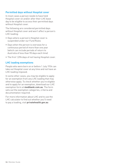#### **Permitted days without Hospital cover**

In most cases a person needs to have held Hospital cover on and/or after their LHC base day to be eligible to access their permitted days without Hospital cover.

The following are considered permitted days without Hospital cover and won't affect a person's LHC loading:

- Days where a person's Hospital cover is suspended under our Fund Rules
- Days when the person is overseas for a continuous period of more than one year (which can include periods of return to Australia of less than 90 days each time)
- The first 1,094 days of not having Hospital cover.

#### **LHC loading exemptions**

People who were born on or before 1 July 1934 can take out Hospital cover at any time and not have an LHC loading imposed.

In some other cases, you may be eligible to apply for an exemption from any LHC loading that may otherwise apply. To check whether you're eligible and to apply for an exemption, download our LHC exemption form at **medibank.com.au**. The form sets out the exemption categories, criteria and documentation required.

For more information about LHC and to use the LHC calculator to find out whether you'll need to pay a loading, visit **privatehealth.gov.au**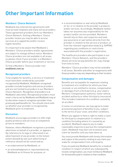### **Other Important Information**

#### **Members' Choice Network**

Medibank has entered into agreements with most private hospitals and many extras providers. These agreement providers form our Members' Choice Network. Visiting a Members' Choice provider means you may be able to access services at a capped fee and/or receive higher benefits.

It's important to be aware that Medibank's Members' Choice providers and/or agreements are subject to change without notice. Members' Choice providers are not available in all areas, so please check if your provider is a Members' Choice provider before your treatment or service.

To find a Members' Choice provider visit **medibank.com.au**

#### **Recognised providers**

To be eligible for benefits, a service or treatment must have been rendered by a provider recognised by Medibank. Medibank-recognised providers include hospitals and extras providers and are not limited to providers in our Members' Choice Network. Recognition of providers is at Medibank's discretion. Recognised providers must meet criteria set by Medibank and Medibank may at its discretion cease to recognise a provider it has previously paid benefits for. You should check with us whether your provider is recognised by Medibank prior to treatment.

#### **Disclaimer**

Medibank encourages providers to offer high quality products and services at competitive prices to members.

However, where Medibank recognises a provider, advertises on behalf of a provider, or appears (by reference to its logo or otherwise) in an advertisement of any provider, to the fullest extent allowed by law such advertising or reference should not be construed as:

- an endorsement by Medibank; or
- an acknowledgment or representation by Medibank as to fitness for purpose; or

• a recommendation or warranty by Medibank of, for, or in relation to the provider's products and/or services. Accordingly, Medibank neither takes nor assumes any responsibility for the product and/or service provided. Members should rely on their own enquiries and seek any assurance or warranties directly from the provider in relation to the service or product, or from the relevant registration body (e.g. AHPRA) regarding any conditions or restrictions associated with the provider's registration.

The healthcare providers who participate in our Members' Choice Network, and the providers whose services we pay benefits for, may change from time to time.

Members' Choice providers may not be available in all areas. Benefits and other arrangements with those providers may vary depending on their location.

#### **Compensation and damages**

Benefits are not payable for expenses relating to treatment of a condition for which you have received, or are entitled to receive, compensation or damages from a third party (e.g. your state's Workers' Compensation authority, motor vehicle accident authority or other third party insurance). This includes treatment of a condition caused by an accident.

In some circumstances, we may agree to make provisional payment of benefits to you, subject to the terms of your cover, and other conditions.

Where you appear to have a right to make a claim for third party compensation in relation to a condition (including where it's caused by an accident), Medibank expects you to make reasonable enquiries to pursue the compensation claim. Medibank may elect not to assess your claim for benefits until you have done so.

You must provide Medibank with timely information and copies of documents relating to any claim you make for compensation from a third party.

If you are paid any Medibank benefits for a medical condition in respect of which you subsequently receive compensation, you must reimburse Medibank for the benefits paid in relation to that condition.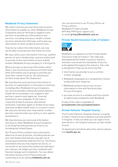#### **Medibank Privacy Statement**

We collect and use your personal and sensitive information to enable us, other Medibank Group Companies and our third party suppliers and partners to provide you with products and services, including insurance, health-related services and partner offerings, and to give you information on other products and services.

If we do not collect this information, we may not be able to provide you with these services.

We may collect your information from you, another person on your membership, a person authorised to provide us this information on your behalf, another Medibank Group company or a third party.

Where you give us personal information about others, you must ensure that you let them know what information you're giving us and that you have their consent to do so. You should also let them know about this Statement.

We may disclose your personal information to persons or organisations in Australia or overseas, including other Medibank Group Companies, our service providers and professional advisers, health service providers, our suppliers and partners, government agencies, financial institutions, your employer (if you have a corporate product) and your educational institution, migration agent or broker (if you have overseas student health cover or a visitors cover). We may also disclose your information to other persons covered under your policy or your agents and advisers.

We may disclose your personal information overseas to other Medibank Group Companies or third parties who provide services to us, including the United States.

Our Privacy Policy contains more information about our privacy practices, including how we use your information and how you may opt-out of receiving promotional material from us. The Policy also details how you may request access to, or correction of, personal information we hold about you, how you can lodge a privacy complaint and how we manage such complaints. You can obtain the latest version of our Privacy Policy by contacting us or by visiting **medibank.com.au**

You can also write to our Privacy Officer at: Privacy Officer, Medibank Private Limited, GPO Box 9999 (your capital city) or email **privacy@medibank.com.au**

#### **Private Health Insurance Code of Conduct**



Medibank is a signatory to the Private Health Insurance Code of Conduct. The code was developed by the health insurance industry and aims to promote the standards of service to be applied throughout the industry. The code is designed to help you by ensuring that:

- information we provide to you is written in plain language
- Medibank employees are competently trained to deal with your enquiries
- Medibank protects the privacy of your information in line with the Australian Privacy Principles
- you have access to a reliable and free system of addressing complaints with Medibank.

A copy of the code is available at **privatehealth.com.au/codeofconduct**

#### **Private Patients' Hospital Charter**

The Private Patients' Hospital Charter is a guide to what it means to be treated as a private patient in hospital. It sets out what you can expect from your doctors, the hospital and your private health insurer.

To download a factsheet about the charter please visit **health.gov.au**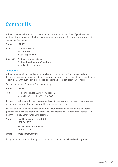### **Contact Us**

At Medibank we value your comments on our products and services. If you have any feedback for us or require further explanation of any matter affecting your membership, you can contact us by:

**Phone 132 331 Mail** Medibank Private, GPO Box 9999 in your capital city

**In person** Visiting one of our stores. Visit **medibank.com.au/locations** to find a store near you.

#### **Complaints**

At Medibank we aim to resolve all enquiries and concerns the first time you talk to us. If your concern is still unresolved, our Customer Support team is here to help. You'll need to provide us with sufficient information to enable us to investigate your concern.

You can contact our Customer Support team by:

| <b>Phone</b> | 132 331                                                                 |
|--------------|-------------------------------------------------------------------------|
| Mail         | Medibank Private Customer Support,<br>GPO Box 9999. Melbourne. VIC 3000 |

If you're not satisfied with the resolution offered by the Customer Support team, you can ask for your complaint to be escalated to our Resolutions team.

If you're still dissatisfied with the outcome of your complaint, or if you have a general question about private health insurance, you can receive free, independent advice from the Private Health Insurance Ombudsman:

| <b>Phone</b> | Health Insurance complaints:    |
|--------------|---------------------------------|
|              | 1300 362 072                    |
|              | <b>Health Insurance advice:</b> |
|              | 1300 737 299                    |

#### **Online ombudsman.gov.au**

For general information about private health insurance, see **privatehealth.gov.au**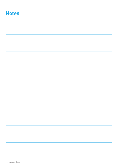### **Notes**